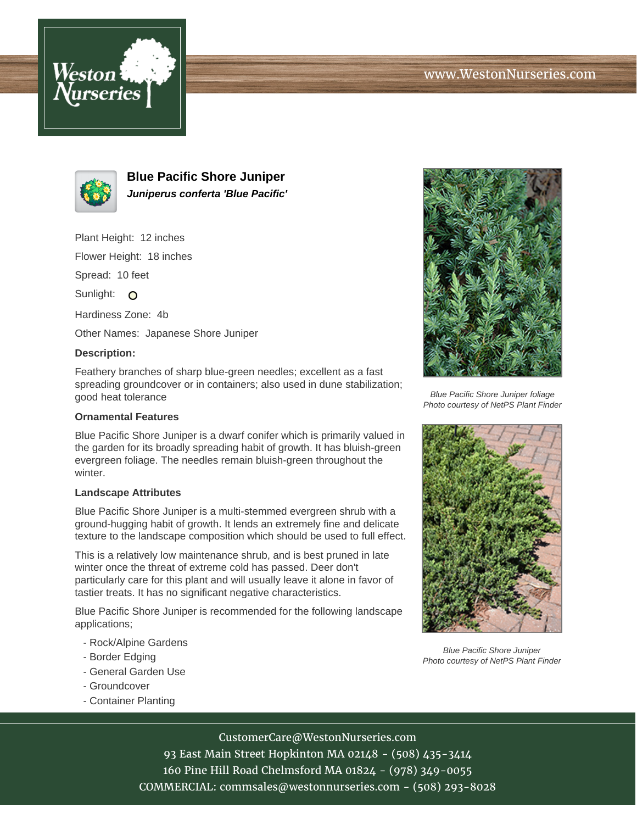



**Blue Pacific Shore Juniper Juniperus conferta 'Blue Pacific'**

Plant Height: 12 inches

Flower Height: 18 inches

Spread: 10 feet

Sunlight: O

Hardiness Zone: 4b

Other Names: Japanese Shore Juniper

## **Description:**

Feathery branches of sharp blue-green needles; excellent as a fast spreading groundcover or in containers; also used in dune stabilization; good heat tolerance

## **Ornamental Features**

Blue Pacific Shore Juniper is a dwarf conifer which is primarily valued in the garden for its broadly spreading habit of growth. It has bluish-green evergreen foliage. The needles remain bluish-green throughout the winter.

## **Landscape Attributes**

Blue Pacific Shore Juniper is a multi-stemmed evergreen shrub with a ground-hugging habit of growth. It lends an extremely fine and delicate texture to the landscape composition which should be used to full effect.

This is a relatively low maintenance shrub, and is best pruned in late winter once the threat of extreme cold has passed. Deer don't particularly care for this plant and will usually leave it alone in favor of tastier treats. It has no significant negative characteristics.

Blue Pacific Shore Juniper is recommended for the following landscape applications;

- Rock/Alpine Gardens
- Border Edging
- General Garden Use
- Groundcover
- Container Planting



Blue Pacific Shore Juniper foliage Photo courtesy of NetPS Plant Finder



Blue Pacific Shore Juniper Photo courtesy of NetPS Plant Finder

CustomerCare@WestonNurseries.com

93 East Main Street Hopkinton MA 02148 - (508) 435-3414 160 Pine Hill Road Chelmsford MA 01824 - (978) 349-0055 COMMERCIAL: commsales@westonnurseries.com - (508) 293-8028